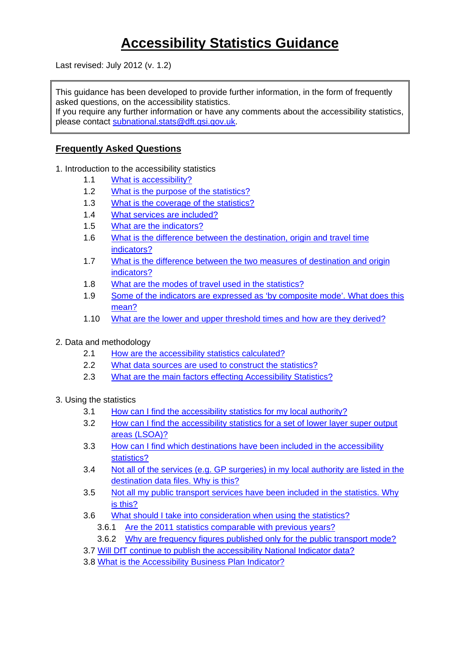# **Accessibility Statistics Guidance**

Last revised: July 2012 (v. 1.2)

This guidance has been developed to provide further information, in the form of frequently asked questions, on the accessibility statistics.

If you require any further information or have any comments about the accessibility statistics, please contact [subnational.stats@dft.gsi.gov.uk.](mailto:subnational.stats@dft.gsi.gov.uk)

#### **Frequently Asked Questions**

- 1. Introduction to the accessibility statistics
	- 1.1 [What is accessibility?](#page-1-0)
	- 1.2 [What is the purpose of the statistics?](#page-1-1)
	- 1.3 [What is the coverage of the statistics?](#page-1-2)
	- 1.4 [What services are included?](#page-2-0)
	- 1.5 [What are the indicators?](#page-2-0)
	- 1.6 [What is the difference between the destination, origin and travel time](#page-2-1)  [indicators?](#page-2-1)
	- 1.7 [What is the difference between the two measures of destination and origin](#page-3-0)  [indicators?](#page-3-0)
	- 1.8 [What are the modes of travel used in the statistics?](#page-4-0)
	- 1.9 [Some of the indicators are expressed as 'by composite mode'. What does this](#page-4-1)  [mean?](#page-4-1)
	- 1.10 [What are the lower and upper threshold times and how are they derived?](#page-4-2)
- 2. Data and methodology
	- 2.1 [How are the accessibility statistics calculated?](#page-6-0)
	- 2.2 [What data sources are used to construct the statistics?](#page-6-1)
	- 2.3 [What are the main factors effecting Accessibility Statistics?](#page-8-0)

3. Using the statistics

- 3.1 [How can I find the accessibility statistics for my local authority?](#page-9-0)
- 3.2 [How can I find the accessibility statistics for a set of lower layer super output](#page-9-1)  [areas \(LSOA\)?](#page-9-1)
- 3.3 [How can I find which destinations have been included in the accessibility](#page-9-2)  [statistics?](#page-9-2)
- 3.4 [Not all of the services \(e.g. GP surgeries\) in my local authority are listed in the](#page-9-3)  [destination data files. Why is this?](#page-9-3)
- 3.5 [Not all my public transport services have been included in the statistics. Why](#page-10-0)  [is this?](#page-10-0)
- 3.6 [What should I take into consideration when using the statistics?](#page-10-1)
	- 3.6.1 [Are the 2011 statistics comparable with previous years?](#page-10-2)
	- 3.6.2 [Why are frequency figures published only for the public transport mode?](#page-12-0)
- 3.7 [Will DfT continue to publish the accessibility National Indicator data?](#page-12-1)
- 3.8 [What is the Accessibility Business Plan Indicator?](#page-12-2)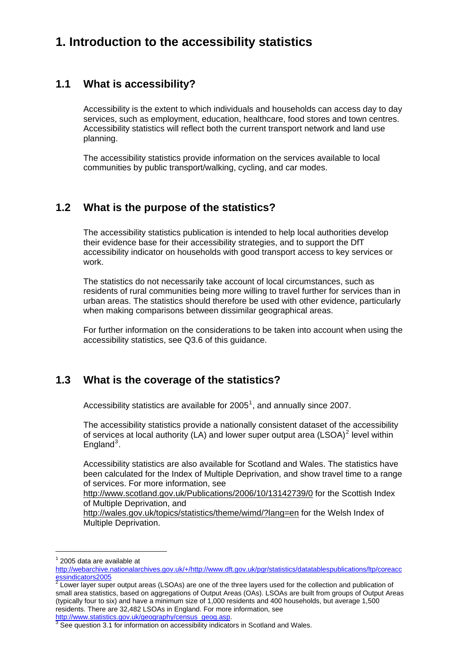## **1. Introduction to the accessibility statistics**

### <span id="page-1-0"></span>**1.1 What is accessibility?**

Accessibility is the extent to which individuals and households can access day to day services, such as employment, education, healthcare, food stores and town centres. Accessibility statistics will reflect both the current transport network and land use planning.

The accessibility statistics provide information on the services available to local communities by public transport/walking, cycling, and car modes.

### <span id="page-1-1"></span>**1.2 What is the purpose of the statistics?**

The accessibility statistics publication is intended to help local authorities develop their evidence base for their accessibility strategies, and to support the DfT accessibility indicator on households with good transport access to key services or work.

The statistics do not necessarily take account of local circumstances, such as residents of rural communities being more willing to travel further for services than in urban areas. The statistics should therefore be used with other evidence, particularly when making comparisons between dissimilar geographical areas.

For further information on the considerations to be taken into account when using the accessibility statistics, see Q3.6 of this guidance.

### <span id="page-1-2"></span>**1.3 What is the coverage of the statistics?**

Accessibility statistics are available for  $2005<sup>1</sup>$  $2005<sup>1</sup>$  $2005<sup>1</sup>$ , and annually since 2007.

The accessibility statistics provide a nationally consistent dataset of the accessibility of services at local authority (LA) and lower super output area (LSOA)<sup>[2](#page-1-4)</sup> level within England $3$ .

Accessibility statistics are also available for Scotland and Wales. The statistics have been calculated for the Index of Multiple Deprivation, and show travel time to a range of services. For more information, see

<http://www.scotland.gov.uk/Publications/2006/10/13142739/0> for the Scottish Index of Multiple Deprivation, and

<http://wales.gov.uk/topics/statistics/theme/wimd/?lang=en> for the Welsh Index of Multiple Deprivation.

<sup>1</sup> 2005 data are available at

<span id="page-1-3"></span>[http://webarchive.nationalarchives.gov.uk/+/http://www.dft.gov.uk/pgr/statistics/datatablespublications/ltp/coreacc](http://webarchive.nationalarchives.gov.uk/+/http://www.dft.gov.uk/pgr/statistics/datatablespublications/ltp/coreaccessindicators2005) <u>[essindicators2005](http://webarchive.nationalarchives.gov.uk/+/http://www.dft.gov.uk/pgr/statistics/datatablespublications/ltp/coreaccessindicators2005)</u><br><sup>[2](http://webarchive.nationalarchives.gov.uk/+/http://www.dft.gov.uk/pgr/statistics/datatablespublications/ltp/coreaccessindicators2005)</sup> Lower layer super output areas (LSOAs) are one of the three layers used for the collection and publication of

<span id="page-1-4"></span>small area statistics, based on aggregations of Output Areas (OAs). LSOAs are built from groups of Output Areas (typically four to six) and have a minimum size of 1,000 residents and 400 households, but average 1,500 residents. There are 32,482 LSOAs in England. For more information, see [http://www.statistics.gov.uk/geography/census\\_geog.asp](http://www.statistics.gov.uk/geography/census_geog.asp).

<span id="page-1-5"></span> $3$  See question 3.1 for information on accessibility indicators in Scotland and Wales.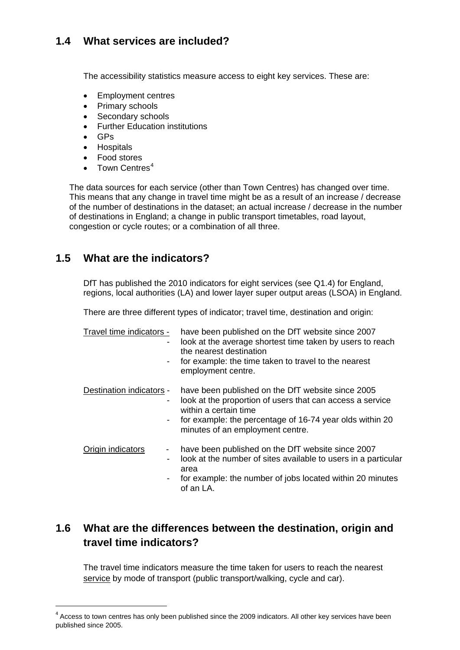### <span id="page-2-0"></span>**1.4 What services are included?**

The accessibility statistics measure access to eight key services. These are:

- Employment centres
- Primary schools
- Secondary schools
- Further Education institutions
- GPs
- **•** Hospitals
- Food stores
- Town Centres<sup>[4](#page-2-2)</sup>

The data sources for each service (other than Town Centres) has changed over time. This means that any change in travel time might be as a result of an increase / decrease of the number of destinations in the dataset; an actual increase / decrease in the number of destinations in England; a change in public transport timetables, road layout, congestion or cycle routes; or a combination of all three.

### **1.5 What are the indicators?**

DfT has published the 2010 indicators for eight services (see Q1.4) for England, regions, local authorities (LA) and lower layer super output areas (LSOA) in England.

There are three different types of indicator; travel time, destination and origin:

| Travel time indicators -<br>- | have been published on the DfT website since 2007<br>look at the average shortest time taken by users to reach<br>the nearest destination<br>for example: the time taken to travel to the nearest<br>employment centre.                 |
|-------------------------------|-----------------------------------------------------------------------------------------------------------------------------------------------------------------------------------------------------------------------------------------|
| Destination indicators -      | have been published on the DfT website since 2005<br>look at the proportion of users that can access a service<br>within a certain time<br>for example: the percentage of 16-74 year olds within 20<br>minutes of an employment centre. |
| Origin indicators             | have been published on the DfT website since 2007<br>look at the number of sites available to users in a particular<br>area<br>for example: the number of jobs located within 20 minutes<br>of an LA.                                   |

### <span id="page-2-1"></span>**1.6 What are the differences between the destination, origin and travel time indicators?**

The travel time indicators measure the time taken for users to reach the nearest service by mode of transport (public transport/walking, cycle and car).

<span id="page-2-2"></span><sup>&</sup>lt;sup>4</sup> Access to town centres has only been published since the 2009 indicators. All other key services have been published since 2005.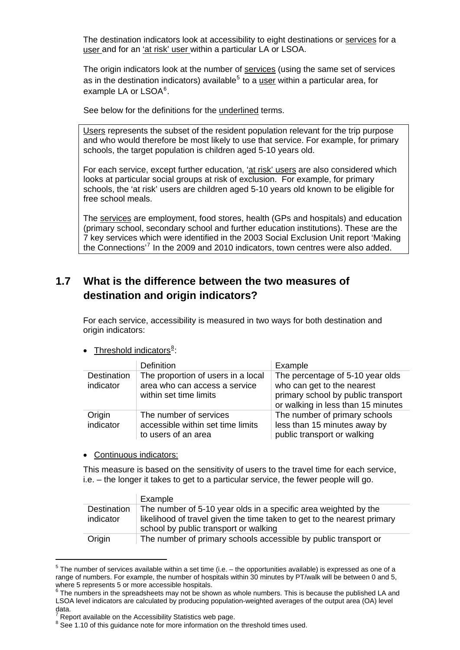The destination indicators look at accessibility to eight destinations or services for a user and for an 'at risk' user within a particular LA or LSOA.

The origin indicators look at the number of services (using the same set of services as in the destination indicators) available<sup>[5](#page-3-1)</sup> to a user within a particular area, for example LA or LSOA<sup>[6](#page-3-2)</sup>.

See below for the definitions for the underlined terms.

Users represents the subset of the resident population relevant for the trip purpose and who would therefore be most likely to use that service. For example, for primary schools, the target population is children aged 5-10 years old.

For each service, except further education, 'at risk' users are also considered which looks at particular social groups at risk of exclusion. For example, for primary schools, the 'at risk' users are children aged 5-10 years old known to be eligible for free school meals.

The services are employment, food stores, health (GPs and hospitals) and education (primary school, secondary school and further education institutions). These are the 7 key services which were identified in the 2003 Social Exclusion Unit report 'Making the Connections'[7](#page-3-3) In the 2009 and 2010 indicators, town centres were also added.

### <span id="page-3-0"></span>**1.7 What is the difference between the two measures of destination and origin indicators?**

For each service, accessibility is measured in two ways for both destination and origin indicators:

• Threshold indicators<sup>[8](#page-3-4)</sup>:

|                          | <b>Definition</b>                                                                             | Example                                                                                                                                    |
|--------------------------|-----------------------------------------------------------------------------------------------|--------------------------------------------------------------------------------------------------------------------------------------------|
| Destination<br>indicator | The proportion of users in a local<br>area who can access a service<br>within set time limits | The percentage of 5-10 year olds<br>who can get to the nearest<br>primary school by public transport<br>or walking in less than 15 minutes |
| Origin<br>indicator      | The number of services<br>accessible within set time limits<br>to users of an area            | The number of primary schools<br>less than 15 minutes away by<br>public transport or walking                                               |

Continuous indicators:

This measure is based on the sensitivity of users to the travel time for each service, i.e. – the longer it takes to get to a particular service, the fewer people will go.

|             | Example                                                                 |
|-------------|-------------------------------------------------------------------------|
| Destination | The number of 5-10 year olds in a specific area weighted by the         |
| indicator   | likelihood of travel given the time taken to get to the nearest primary |
|             | school by public transport or walking                                   |
| Origin      | The number of primary schools accessible by public transport or         |

<span id="page-3-1"></span> $5$  The number of services available within a set time (i.e. – the opportunities available) is expressed as one of a range of numbers. For example, the number of hospitals within 30 minutes by PT/walk will be between 0 and 5, where 5 represents 5 or more accessible hospitals.<br><sup>6</sup> The numbers in the spreadsheets may not be shown as whole numbers. This is because the published LA and

<span id="page-3-2"></span>LSOA level indicators are calculated by producing population-weighted averages of the output area (OA) level data. 7

<span id="page-3-3"></span>Report available on the Accessibility Statistics web page.

<span id="page-3-4"></span> $8$  See 1.10 of this guidance note for more information on the threshold times used.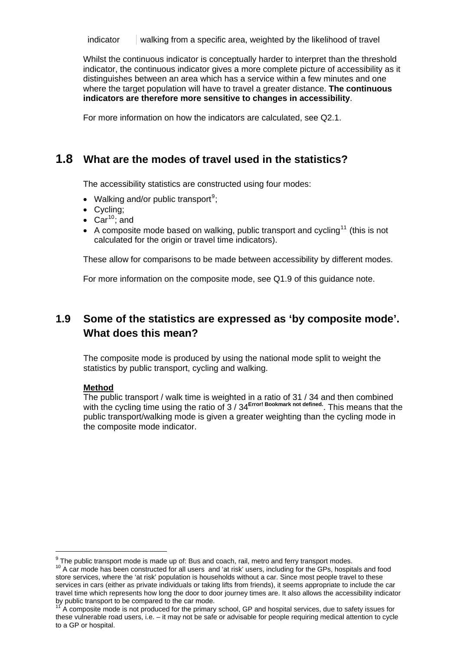indicator walking from a specific area, weighted by the likelihood of travel

Whilst the continuous indicator is conceptually harder to interpret than the threshold indicator, the continuous indicator gives a more complete picture of accessibility as it distinguishes between an area which has a service within a few minutes and one where the target population will have to travel a greater distance. **The continuous indicators are therefore more sensitive to changes in accessibility**.

For more information on how the indicators are calculated, see Q2.1.

### <span id="page-4-0"></span>**1.8 What are the modes of travel used in the statistics?**

The accessibility statistics are constructed using four modes:

- Walking and/or public transport<sup>[9](#page-4-3)</sup>;
- Cycling;
- $\bullet$  Car<sup>[10](#page-4-4)</sup>; and
- A composite mode based on walking, public transport and cycling<sup>[11](#page-4-5)</sup> (this is not calculated for the origin or travel time indicators).

These allow for comparisons to be made between accessibility by different modes.

For more information on the composite mode, see Q1.9 of this guidance note.

### <span id="page-4-1"></span>**1.9 Some of the statistics are expressed as 'by composite mode'. What does this mean?**

The composite mode is produced by using the national mode split to weight the statistics by public transport, cycling and walking.

#### **Method**

<span id="page-4-2"></span>

The public transport / walk time is weighted in a ratio of 31 / 34 and then combined with the cycling time using the ratio of 3 / 34**Error! Bookmark not defined.**. This means that the public transport/walking mode is given a greater weighting than the cycling mode in the composite mode indicator.

 $9$  The public transport mode is made up of: Bus and coach, rail, metro and ferry transport modes.

<span id="page-4-4"></span><span id="page-4-3"></span> $10$  A car mode has been constructed for all users and 'at risk' users, including for the GPs, hospitals and food store services, where the 'at risk' population is households without a car. Since most people travel to these services in cars (either as private individuals or taking lifts from friends), it seems appropriate to include the car travel time which represents how long the door to door journey times are. It also allows the accessibility indicator by public transport to be compared to the car mode.

<span id="page-4-5"></span>A composite mode is not produced for the primary school, GP and hospital services, due to safety issues for these vulnerable road users, i.e. – it may not be safe or advisable for people requiring medical attention to cycle to a GP or hospital.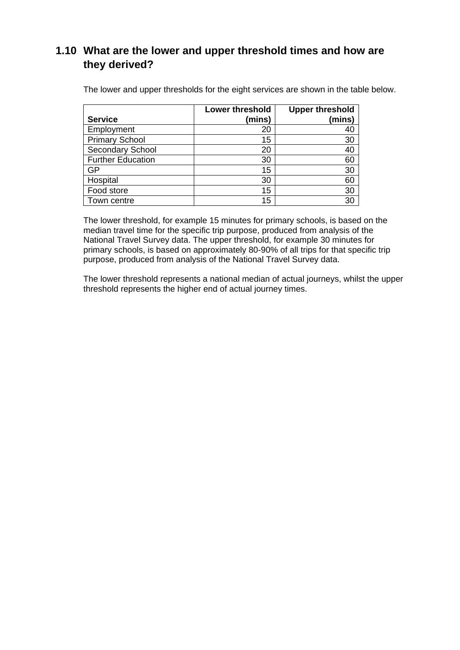### **1.10 What are the lower and upper threshold times and how are they derived?**

The lower and upper thresholds for the eight services are shown in the table below.

|                          | <b>Lower threshold</b> | <b>Upper threshold</b> |
|--------------------------|------------------------|------------------------|
| <b>Service</b>           | (mins)                 | (mins)                 |
| Employment               | 20                     | 40                     |
| <b>Primary School</b>    | 15                     | 30                     |
| Secondary School         | 20                     | 40                     |
| <b>Further Education</b> | 30                     | 60                     |
| GP                       | 15                     | 30                     |
| Hospital                 | 30                     | 60                     |
| Food store               | 15                     | 30                     |
| Town centre              | 15                     | 30                     |

The lower threshold, for example 15 minutes for primary schools, is based on the median travel time for the specific trip purpose, produced from analysis of the National Travel Survey data. The upper threshold, for example 30 minutes for primary schools, is based on approximately 80-90% of all trips for that specific trip purpose, produced from analysis of the National Travel Survey data.

The lower threshold represents a national median of actual journeys, whilst the upper threshold represents the higher end of actual journey times.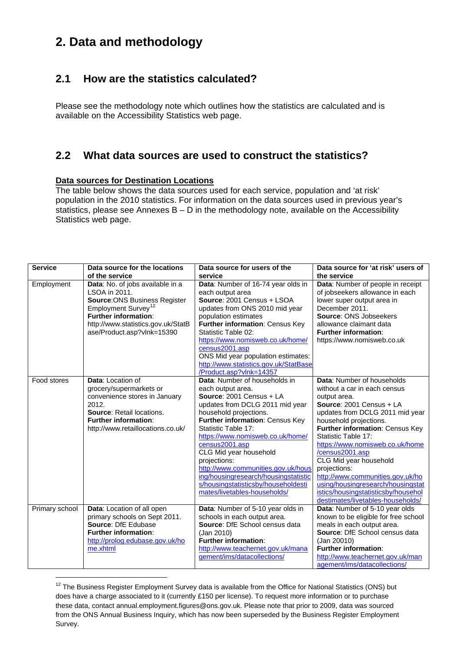## **2. Data and methodology**

### <span id="page-6-0"></span>**2.1 How are the statistics calculated?**

Please see the methodology note which outlines how the statistics are calculated and is available on the Accessibility Statistics web page.

### <span id="page-6-1"></span>**2.2 What data sources are used to construct the statistics?**

#### **Data sources for Destination Locations**

The table below shows the data sources used for each service, population and 'at risk' population in the 2010 statistics. For information on the data sources used in previous year's statistics, please see Annexes  $B - D$  in the methodology note, available on the Accessibility Statistics web page.

| <b>Service</b> | Data source for the locations                               | Data source for users of the                                      | Data source for 'at risk' users of                                     |
|----------------|-------------------------------------------------------------|-------------------------------------------------------------------|------------------------------------------------------------------------|
|                | of the service                                              | service                                                           | the service                                                            |
| Employment     | Data: No. of jobs available in a                            | Data: Number of 16-74 year olds in                                | Data: Number of people in receipt                                      |
|                | LSOA in 2011.                                               | each output area                                                  | of jobseekers allowance in each                                        |
|                | <b>Source: ONS Business Register</b>                        | Source: 2001 Census + LSOA                                        | lower super output area in                                             |
|                | Employment Survey <sup>12</sup>                             | updates from ONS 2010 mid year                                    | December 2011.                                                         |
|                | <b>Further information:</b>                                 | population estimates                                              | <b>Source: ONS Jobseekers</b>                                          |
|                | http://www.statistics.gov.uk/StatB                          | Further information: Census Key                                   | allowance claimant data                                                |
|                | ase/Product.asp?vlnk=15390                                  | Statistic Table 02:                                               | <b>Further information:</b>                                            |
|                |                                                             | https://www.nomisweb.co.uk/home/                                  | https://www.nomisweb.co.uk                                             |
|                |                                                             | census2001.asp                                                    |                                                                        |
|                |                                                             | ONS Mid year population estimates:                                |                                                                        |
|                |                                                             | http://www.statistics.gov.uk/StatBase                             |                                                                        |
|                |                                                             | /Product.asp?vlnk=14357                                           |                                                                        |
| Food stores    | Data: Location of                                           | Data: Number of households in                                     | Data: Number of households                                             |
|                | grocery/supermarkets or                                     | each output area.                                                 | without a car in each census                                           |
|                | convenience stores in January                               | Source: 2001 Census + LA                                          | output area.                                                           |
|                | 2012.                                                       | updates from DCLG 2011 mid year                                   | Source: 2001 Census + LA                                               |
|                | Source: Retail locations.                                   | household projections.                                            | updates from DCLG 2011 mid year                                        |
|                | <b>Further information:</b>                                 | Further information: Census Key                                   | household projections.                                                 |
|                | http://www.retaillocations.co.uk/                           | Statistic Table 17:                                               | Further information: Census Key                                        |
|                |                                                             | https://www.nomisweb.co.uk/home/                                  | Statistic Table 17:                                                    |
|                |                                                             | census2001.asp                                                    | https://www.nomisweb.co.uk/home                                        |
|                |                                                             | CLG Mid year household                                            | /census2001.asp                                                        |
|                |                                                             | projections:                                                      | CLG Mid year household                                                 |
|                |                                                             | http://www.communities.gov.uk/hous                                | projections:                                                           |
|                |                                                             | ing/housingresearch/housingstatistic                              | http://www.communities.gov.uk/ho                                       |
|                |                                                             | s/housingstatisticsby/householdesti                               | using/housingresearch/housingstat                                      |
|                |                                                             | mates/livetables-households/                                      | istics/housingstatisticsby/househol                                    |
|                |                                                             |                                                                   | destimates/livetables-households/                                      |
| Primary school | Data: Location of all open<br>primary schools on Sept 2011. | Data: Number of 5-10 year olds in<br>schools in each output area. | Data: Number of 5-10 year olds<br>known to be eligible for free school |
|                | Source: DfE Edubase                                         | <b>Source: DfE School census data</b>                             | meals in each output area.                                             |
|                | <b>Further information:</b>                                 | (Jan 2010)                                                        | <b>Source: DfE School census data</b>                                  |
|                | http://prolog.edubase.gov.uk/ho                             | <b>Further information:</b>                                       | (Jan 20010)                                                            |
|                | me.xhtml                                                    | http://www.teachernet.gov.uk/mana                                 | Further information:                                                   |
|                |                                                             | gement/ims/datacollections/                                       | http://www.teachernet.gov.uk/man                                       |
|                |                                                             |                                                                   | agement/ims/datacollections/                                           |

<span id="page-6-2"></span><sup>&</sup>lt;sup>12</sup> The Business Register Employment Survey data is available from the Office for National Statistics (ONS) but does have a charge associated to it (currently £150 per license). To request more information or to purchase these data, contact annual.employment.figures@ons.gov.uk. Please note that prior to 2009, data was sourced from the ONS Annual Business Inquiry, which has now been superseded by the Business Register Employment Survey.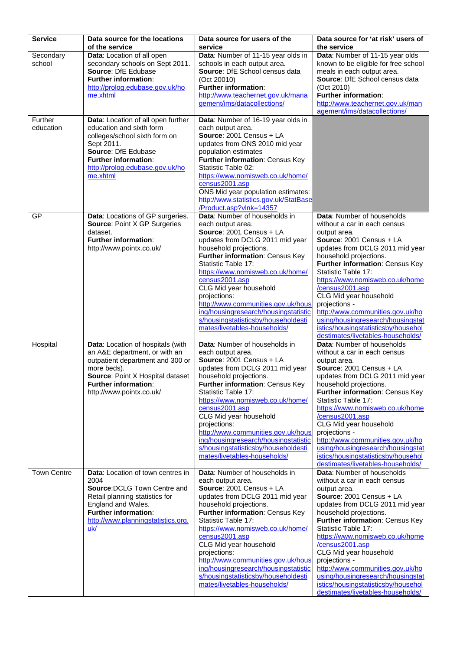| <b>Service</b>     | Data source for the locations<br>of the service                    | Data source for users of the<br>service                                     | Data source for 'at risk' users of<br>the service                        |
|--------------------|--------------------------------------------------------------------|-----------------------------------------------------------------------------|--------------------------------------------------------------------------|
| Secondary          | Data: Location of all open                                         | Data: Number of 11-15 year olds in                                          | Data: Number of 11-15 year olds                                          |
| school             | secondary schools on Sept 2011.                                    | schools in each output area.                                                | known to be eligible for free school                                     |
|                    | Source: DfE Edubase<br><b>Further information:</b>                 | Source: DfE School census data<br>(Oct 20010)                               | meals in each output area.<br>Source: DfE School census data             |
|                    | http://prolog.edubase.gov.uk/ho                                    | <b>Further information:</b>                                                 | (Oct 2010)                                                               |
|                    | me.xhtml                                                           | http://www.teachernet.gov.uk/mana                                           | <b>Further information:</b>                                              |
|                    |                                                                    | gement/ims/datacollections/                                                 | http://www.teachernet.gov.uk/man<br>agement/ims/datacollections/         |
| Further            | Data: Location of all open further                                 | Data: Number of 16-19 year olds in                                          |                                                                          |
| education          | education and sixth form                                           | each output area.                                                           |                                                                          |
|                    | colleges/school sixth form on<br>Sept 2011.                        | Source: 2001 Census + LA<br>updates from ONS 2010 mid year                  |                                                                          |
|                    | Source: DfE Edubase                                                | population estimates                                                        |                                                                          |
|                    | Further information:                                               | Further information: Census Key                                             |                                                                          |
|                    | http://prolog.edubase.gov.uk/ho<br>me.xhtml                        | Statistic Table 02:<br>https://www.nomisweb.co.uk/home/                     |                                                                          |
|                    |                                                                    | census2001.asp                                                              |                                                                          |
|                    |                                                                    | ONS Mid year population estimates:                                          |                                                                          |
|                    |                                                                    | http://www.statistics.gov.uk/StatBase<br>/Product.asp?vlnk=14357            |                                                                          |
| GP                 | Data: Locations of GP surgeries.                                   | Data: Number of households in                                               | Data: Number of households                                               |
|                    | <b>Source: Point X GP Surgeries</b><br>dataset.                    | each output area.<br>Source: 2001 Census + LA                               | without a car in each census<br>output area.                             |
|                    | <b>Further information:</b>                                        | updates from DCLG 2011 mid year                                             | Source: 2001 Census + LA                                                 |
|                    | http://www.pointx.co.uk/                                           | household projections.                                                      | updates from DCLG 2011 mid year                                          |
|                    |                                                                    | Further information: Census Key<br>Statistic Table 17:                      | household projections.<br>Further information: Census Key                |
|                    |                                                                    | https://www.nomisweb.co.uk/home/                                            | Statistic Table 17:                                                      |
|                    |                                                                    | census2001.asp                                                              | https://www.nomisweb.co.uk/home                                          |
|                    |                                                                    | CLG Mid year household<br>projections:                                      | /census2001.asp<br>CLG Mid year household                                |
|                    |                                                                    | http://www.communities.gov.uk/hous                                          | projections -                                                            |
|                    |                                                                    | ing/housingresearch/housingstatistic                                        | http://www.communities.gov.uk/ho                                         |
|                    |                                                                    | s/housingstatisticsby/householdesti<br>mates/livetables-households/         | using/housingresearch/housingstat<br>istics/housingstatisticsby/househol |
|                    |                                                                    |                                                                             | destimates/livetables-households/                                        |
| Hospital           | Data: Location of hospitals (with<br>an A&E department, or with an | Data: Number of households in<br>each output area.                          | Data: Number of households                                               |
|                    | outpatient department and 300 or                                   | Source: 2001 Census + LA                                                    | without a car in each census<br>output area.                             |
|                    | more beds).                                                        | updates from DCLG 2011 mid year                                             | Source: 2001 Census + LA                                                 |
|                    | Source: Point X Hospital dataset<br>Further information:           | household projections.                                                      | updates from DCLG 2011 mid year                                          |
|                    | http://www.pointx.co.uk/                                           | Further information: Census Key<br>Statistic Table 17:                      | household projections.<br>Further information: Census Key                |
|                    |                                                                    | https://www.nomisweb.co.uk/home/                                            | Statistic Table 17:                                                      |
|                    |                                                                    | census2001.asp<br>CLG Mid year household                                    | https://www.nomisweb.co.uk/home<br>/census2001.asp                       |
|                    |                                                                    | projections:                                                                | CLG Mid year household                                                   |
|                    |                                                                    | http://www.communities.gov.uk/hous                                          | projections -                                                            |
|                    |                                                                    | ing/housingresearch/housingstatistic<br>s/housingstatisticsby/householdesti | http://www.communities.gov.uk/ho<br>using/housingresearch/housingstat    |
|                    |                                                                    | mates/livetables-households/                                                | istics/housingstatisticsby/househol                                      |
| <b>Town Centre</b> | Data: Location of town centres in                                  | Data: Number of households in                                               | destimates/livetables-households/<br>Data: Number of households          |
|                    | 2004                                                               | each output area.                                                           | without a car in each census                                             |
|                    | Source: DCLG Town Centre and                                       | Source: 2001 Census + LA                                                    | output area.                                                             |
|                    | Retail planning statistics for<br>England and Wales.               | updates from DCLG 2011 mid year<br>household projections.                   | Source: 2001 Census + LA<br>updates from DCLG 2011 mid year              |
|                    | Further information:                                               | Further information: Census Key                                             | household projections.                                                   |
|                    | http://www.planningstatistics.org.                                 | Statistic Table 17:                                                         | Further information: Census Key                                          |
|                    | uk/                                                                | https://www.nomisweb.co.uk/home/<br>census2001.asp                          | Statistic Table 17:<br>https://www.nomisweb.co.uk/home                   |
|                    |                                                                    | CLG Mid year household                                                      | /census2001.asp                                                          |
|                    |                                                                    | projections:<br>http://www.communities.gov.uk/hous                          | CLG Mid year household<br>projections -                                  |
|                    |                                                                    | ing/housingresearch/housingstatistic                                        | http://www.communities.gov.uk/ho                                         |
|                    |                                                                    | s/housingstatisticsby/householdesti                                         | using/housingresearch/housingstat                                        |
|                    |                                                                    | mates/livetables-households/                                                | istics/housingstatisticsby/househol<br>destimates/livetables-households/ |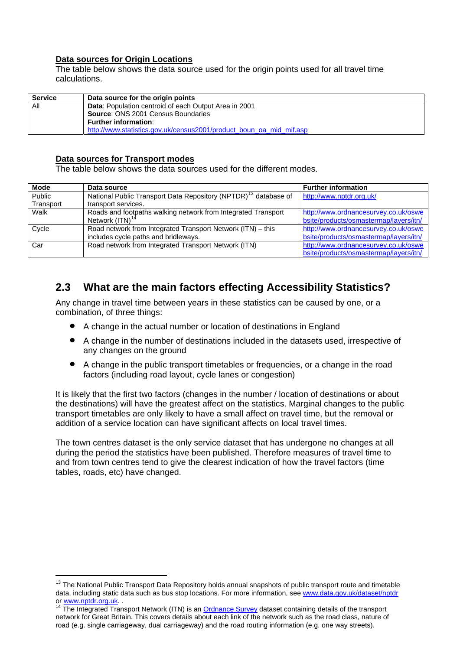#### **Data sources for Origin Locations**

The table below shows the data source used for the origin points used for all travel time calculations.

| <b>Service</b> | Data source for the origin points                                   |  |
|----------------|---------------------------------------------------------------------|--|
| All            | <b>Data:</b> Population centroid of each Output Area in 2001        |  |
|                | <b>Source: ONS 2001 Census Boundaries</b>                           |  |
|                | <b>Further information:</b>                                         |  |
|                | http://www.statistics.gov.uk/census2001/product_boun_oa_mid_mif.asp |  |

#### **Data sources for Transport modes**

The table below shows the data sources used for the different modes.

<span id="page-8-3"></span>

| <b>Mode</b> | Data source                                                                 | <b>Further information</b>             |
|-------------|-----------------------------------------------------------------------------|----------------------------------------|
| Public      | National Public Transport Data Repository (NPTDR) <sup>13</sup> database of | http://www.nptdr.org.uk/               |
| Transport   | transport services.                                                         |                                        |
| Walk        | Roads and footpaths walking network from Integrated Transport               | http://www.ordnancesurvey.co.uk/oswe   |
|             | Network (ITN) <sup>1</sup>                                                  | bsite/products/osmastermap/layers/itn/ |
| Cycle       | Road network from Integrated Transport Network (ITN) - this                 | http://www.ordnancesurvey.co.uk/oswe   |
|             | includes cycle paths and bridleways.                                        | bsite/products/osmastermap/layers/itn/ |
| Car         | Road network from Integrated Transport Network (ITN)                        | http://www.ordnancesurvey.co.uk/oswe   |
|             |                                                                             | bsite/products/osmastermap/layers/itn/ |

### <span id="page-8-0"></span>**2.3 What are the main factors effecting Accessibility Statistics?**

Any change in travel time between years in these statistics can be caused by one, or a combination, of three things:

- A change in the actual number or location of destinations in England
- A change in the number of destinations included in the datasets used, irrespective of any changes on the ground
- A change in the public transport timetables or frequencies, or a change in the road factors (including road layout, cycle lanes or congestion)

It is likely that the first two factors (changes in the number / location of destinations or about the destinations) will have the greatest affect on the statistics. Marginal changes to the public transport timetables are only likely to have a small affect on travel time, but the removal or addition of a service location can have significant affects on local travel times.

The town centres dataset is the only service dataset that has undergone no changes at all during the period the statistics have been published. Therefore measures of travel time to and from town centres tend to give the clearest indication of how the travel factors (time tables, roads, etc) have changed.

<span id="page-8-1"></span><sup>&</sup>lt;sup>13</sup> The National Public Transport Data Repository holds annual snapshots of public transport route and timetable data, including static data such as bus stop locations. For more information, see [www.data.gov.uk/dataset/nptdr](http://www.data.gov.uk/dataset/nptdr) or [www.nptdr.org.uk.](http://www.nptdr.org.uk/) .<br><sup>14</sup> [The Integrated Tra](http://www.nptdr.org.uk/)nsport Network (ITN) is an <u>Ordnance Survey</u> dataset containing details of the transport

<span id="page-8-2"></span>network for Great Britain. This covers details about each link of the network such as the road class, nature of road (e.g. single carriageway, dual carriageway) and the road routing information (e.g. one way streets).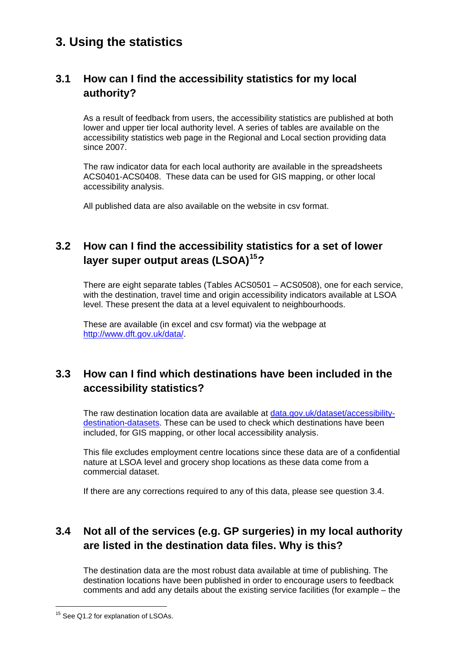## **3. Using the statistics**

### <span id="page-9-0"></span>**3.1 How can I find the accessibility statistics for my local authority?**

As a result of feedback from users, the accessibility statistics are published at both lower and upper tier local authority level. A series of tables are available on the accessibility statistics web page in the Regional and Local section providing data since 2007.

The raw indicator data for each local authority are available in the spreadsheets ACS0401-ACS0408. These data can be used for GIS mapping, or other local accessibility analysis.

All published data are also available on the website in csv format.

### <span id="page-9-1"></span>**3.2 How can I find the accessibility statistics for a set of lower layer super output areas (LSOA)[15](#page-9-4)?**

There are eight separate tables (Tables ACS0501 – ACS0508), one for each service, with the destination, travel time and origin accessibility indicators available at LSOA level. These present the data at a level equivalent to neighbourhoods.

These are available (in excel and csv format) via the webpage at [http://www.dft.gov.uk/data/.](http://www.dft.gov.uk/data/)

### <span id="page-9-2"></span>**3.3 How can I find which destinations have been included in the accessibility statistics?**

The raw destination location data are available at [data.gov.uk/dataset/accessibility](http://data.gov.uk/dataset/accessibility-destination-datasets)[destination-datasets](http://data.gov.uk/dataset/accessibility-destination-datasets). These can be used to check which destinations have been included, for GIS mapping, or other local accessibility analysis.

This file excludes employment centre locations since these data are of a confidential nature at LSOA level and grocery shop locations as these data come from a commercial dataset.

If there are any corrections required to any of this data, please see question 3.4.

## <span id="page-9-3"></span>**3.4 Not all of the services (e.g. GP surgeries) in my local authority are listed in the destination data files. Why is this?**

The destination data are the most robust data available at time of publishing. The destination locations have been published in order to encourage users to feedback comments and add any details about the existing service facilities (for example – the

<span id="page-9-4"></span> <sup>15</sup> See Q1.2 for explanation of LSOAs.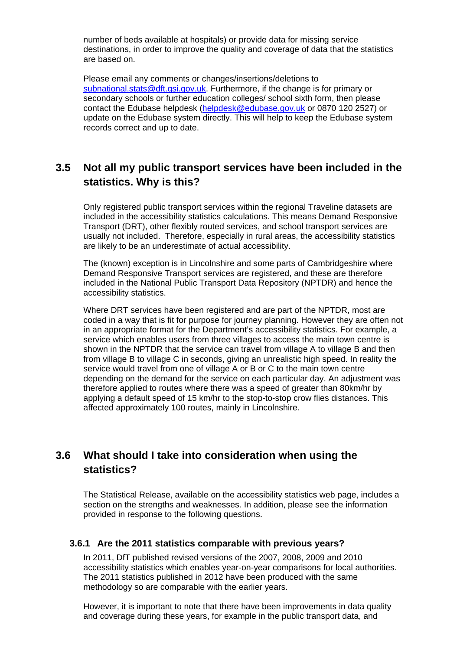number of beds available at hospitals) or provide data for missing service destinations, in order to improve the quality and coverage of data that the statistics are based on.

Please email any comments or changes/insertions/deletions to [subnational.stats@dft.gsi.gov.uk.](mailto:subnational.stats@dft.gsi.gov.uk) Furthermore, if the change is for primary or secondary schools or further education colleges/ school sixth form, then please contact the Edubase helpdesk [\(helpdesk@edubase.gov.uk](mailto:helpdesk@edubase.gov.uk) or 0870 120 2527) or update on the Edubase system directly. This will help to keep the Edubase system records correct and up to date.

### <span id="page-10-0"></span>**3.5 Not all my public transport services have been included in the statistics. Why is this?**

Only registered public transport services within the regional Traveline datasets are included in the accessibility statistics calculations. This means Demand Responsive Transport (DRT), other flexibly routed services, and school transport services are usually not included. Therefore, especially in rural areas, the accessibility statistics are likely to be an underestimate of actual accessibility.

The (known) exception is in Lincolnshire and some parts of Cambridgeshire where Demand Responsive Transport services are registered, and these are therefore included in the National Public Transport Data Repository (NPTDR) and hence the accessibility statistics.

Where DRT services have been registered and are part of the NPTDR, most are coded in a way that is fit for purpose for journey planning. However they are often not in an appropriate format for the Department's accessibility statistics. For example, a service which enables users from three villages to access the main town centre is shown in the NPTDR that the service can travel from village A to village B and then from village B to village C in seconds, giving an unrealistic high speed. In reality the service would travel from one of village A or B or C to the main town centre depending on the demand for the service on each particular day. An adjustment was therefore applied to routes where there was a speed of greater than 80km/hr by applying a default speed of 15 km/hr to the stop-to-stop crow flies distances. This affected approximately 100 routes, mainly in Lincolnshire.

### <span id="page-10-1"></span>**3.6 What should I take into consideration when using the statistics?**

The Statistical Release, available on the accessibility statistics web page, includes a section on the strengths and weaknesses. In addition, please see the information provided in response to the following questions.

#### <span id="page-10-2"></span>**3.6.1 Are the 2011 statistics comparable with previous years?**

In 2011, DfT published revised versions of the 2007, 2008, 2009 and 2010 accessibility statistics which enables year-on-year comparisons for local authorities. The 2011 statistics published in 2012 have been produced with the same methodology so are comparable with the earlier years.

However, it is important to note that there have been improvements in data quality and coverage during these years, for example in the public transport data, and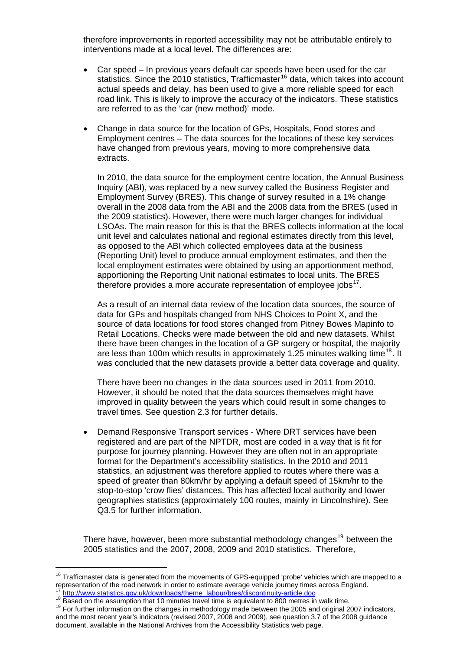therefore improvements in reported accessibility may not be attributable entirely to interventions made at a local level. The differences are:

- Car speed In previous years default car speeds have been used for the car statistics. Since the 2010 statistics, Trafficmaster<sup>[16](#page-11-0)</sup> data, which takes into account actual speeds and delay, has been used to give a more reliable speed for each road link. This is likely to improve the accuracy of the indicators. These statistics are referred to as the 'car (new method)' mode.
- Change in data source for the location of GPs, Hospitals, Food stores and Employment centres – The data sources for the locations of these key services have changed from previous years, moving to more comprehensive data extracts.

In 2010, the data source for the employment centre location, the Annual Business Inquiry (ABI), was replaced by a new survey called the Business Register and Employment Survey (BRES). This change of survey resulted in a 1% change overall in the 2008 data from the ABI and the 2008 data from the BRES (used in the 2009 statistics). However, there were much larger changes for individual LSOAs. The main reason for this is that the BRES collects information at the local unit level and calculates national and regional estimates directly from this level, as opposed to the ABI which collected employees data at the business (Reporting Unit) level to produce annual employment estimates, and then the local employment estimates were obtained by using an apportionment method, apportioning the Reporting Unit national estimates to local units. The BRES therefore provides a more accurate representation of employee jobs $17$ .

As a result of an internal data review of the location data sources, the source of data for GPs and hospitals changed from NHS Choices to Point X, and the source of data locations for food stores changed from Pitney Bowes Mapinfo to Retail Locations. Checks were made between the old and new datasets. Whilst there have been changes in the location of a GP surgery or hospital, the majority are less than 100m which results in approximately 1.25 minutes walking time<sup>[18](#page-11-2)</sup>. It was concluded that the new datasets provide a better data coverage and quality.

There have been no changes in the data sources used in 2011 from 2010. However, it should be noted that the data sources themselves might have improved in quality between the years which could result in some changes to travel times. See question 2.3 for further details.

 Demand Responsive Transport services - Where DRT services have been registered and are part of the NPTDR, most are coded in a way that is fit for purpose for journey planning. However they are often not in an appropriate format for the Department's accessibility statistics. In the 2010 and 2011 statistics, an adjustment was therefore applied to routes where there was a speed of greater than 80km/hr by applying a default speed of 15km/hr to the stop-to-stop 'crow flies' distances. This has affected local authority and lower geographies statistics (approximately 100 routes, mainly in Lincolnshire). See Q3.5 for further information.

There have, however, been more substantial methodology changes<sup>[19](#page-11-3)</sup> between the 2005 statistics and the 2007, 2008, 2009 and 2010 statistics. Therefore,

<span id="page-11-3"></span><span id="page-11-2"></span><span id="page-11-1"></span> $^{17}$  [http://www.statistics.gov.uk/downloads/theme\\_labour/bres/discontinuity-article.doc](http://www.statistics.gov.uk/downloads/theme_labour/bres/discontinuity-article.doc)<br><sup>18</sup> Based on the assumption that 10 minutes travel time is equivalent to 800 metres in walk time.<br><sup>19</sup> For further information on and the most recent year's indicators (revised 2007, 2008 and 2009), see question 3.7 of the 2008 guidance document, available in the National Archives from the Accessibility Statistics web page.

<span id="page-11-0"></span><sup>&</sup>lt;sup>16</sup> Trafficmaster data is generated from the movements of GPS-equipped 'probe' vehicles which are mapped to a representation of the road network in order to estimate average vehicle journey times across England.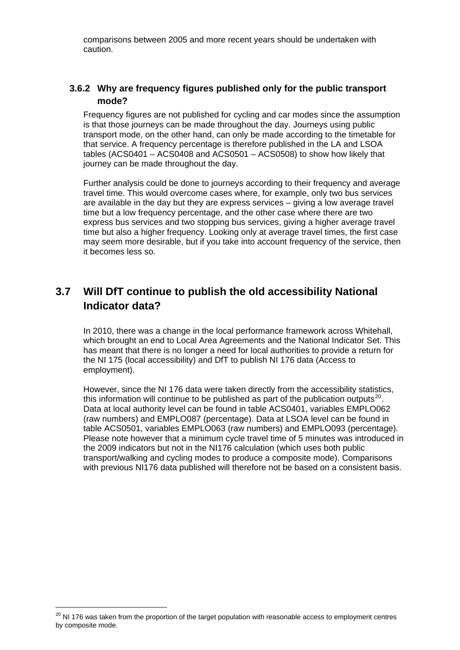comparisons between 2005 and more recent years should be undertaken with caution.

#### <span id="page-12-0"></span>**3.6.2 Why are frequency figures published only for the public transport mode?**

Frequency figures are not published for cycling and car modes since the assumption is that those journeys can be made throughout the day. Journeys using public transport mode, on the other hand, can only be made according to the timetable for that service. A frequency percentage is therefore published in the LA and LSOA tables (ACS0401 – ACS0408 and ACS0501 – ACS0508) to show how likely that journey can be made throughout the day.

Further analysis could be done to journeys according to their frequency and average travel time. This would overcome cases where, for example, only two bus services are available in the day but they are express services – giving a low average travel time but a low frequency percentage, and the other case where there are two express bus services and two stopping bus services, giving a higher average travel time but also a higher frequency. Looking only at average travel times, the first case may seem more desirable, but if you take into account frequency of the service, then it becomes less so.

### <span id="page-12-1"></span>**3.7 Will DfT continue to publish the old accessibility National Indicator data?**

In 2010, there was a change in the local performance framework across Whitehall, which brought an end to Local Area Agreements and the National Indicator Set. This has meant that there is no longer a need for local authorities to provide a return for the NI 175 (local accessibility) and DfT to publish NI 176 data (Access to employment).

<span id="page-12-2"></span>However, since the NI 176 data were taken directly from the accessibility statistics, this information will continue to be published as part of the publication outputs<sup>[20](#page-12-3)</sup>. Data at local authority level can be found in table ACS0401, variables EMPLO062 (raw numbers) and EMPLO087 (percentage). Data at LSOA level can be found in table ACS0501, variables EMPLO063 (raw numbers) and EMPLO093 (percenta ge). Please note however that a minimum cycle travel time of 5 minutes was introduced in the 2009 indicators but not in the NI176 calculation (which uses both public transport/walking and cycling modes to produce a composite mode). Comparisons with previous NI176 data published will therefore not be based on a consistent basis.

<span id="page-12-3"></span><sup>&</sup>lt;sup>20</sup> NI 176 was taken from the proportion of the target population with reasonable access to employment centres by composite mode.